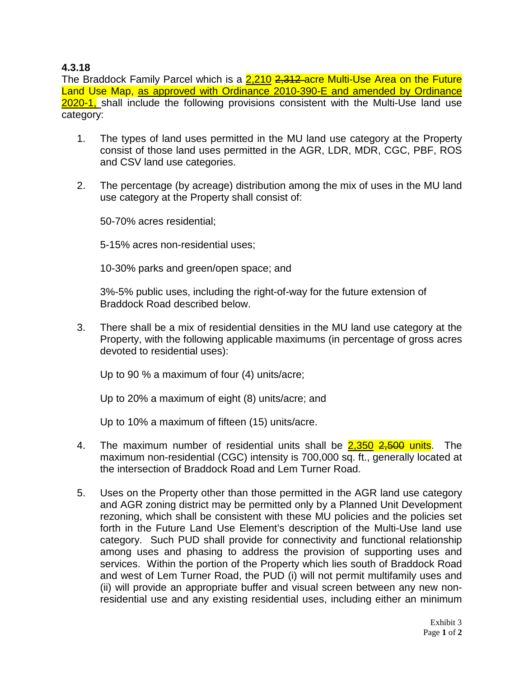## **4.3.18**

The Braddock Family Parcel which is a 2,210 2,312 acre Multi-Use Area on the Future Land Use Map, as approved with Ordinance 2010-390-E and amended by Ordinance 2020-1, shall include the following provisions consistent with the Multi-Use land use category:

- 1. The types of land uses permitted in the MU land use category at the Property consist of those land uses permitted in the AGR, LDR, MDR, CGC, PBF, ROS and CSV land use categories.
- 2. The percentage (by acreage) distribution among the mix of uses in the MU land use category at the Property shall consist of:

50-70% acres residential;

5-15% acres non-residential uses;

10-30% parks and green/open space; and

3%-5% public uses, including the right-of-way for the future extension of Braddock Road described below.

3. There shall be a mix of residential densities in the MU land use category at the Property, with the following applicable maximums (in percentage of gross acres devoted to residential uses):

Up to 90 % a maximum of four (4) units/acre;

Up to 20% a maximum of eight (8) units/acre; and

Up to 10% a maximum of fifteen (15) units/acre.

- 4. The maximum number of residential units shall be 2,350 2,500 units. The maximum non-residential (CGC) intensity is 700,000 sq. ft., generally located at the intersection of Braddock Road and Lem Turner Road.
- 5. Uses on the Property other than those permitted in the AGR land use category and AGR zoning district may be permitted only by a Planned Unit Development rezoning, which shall be consistent with these MU policies and the policies set forth in the Future Land Use Element's description of the Multi-Use land use category. Such PUD shall provide for connectivity and functional relationship among uses and phasing to address the provision of supporting uses and services. Within the portion of the Property which lies south of Braddock Road and west of Lem Turner Road, the PUD (i) will not permit multifamily uses and (ii) will provide an appropriate buffer and visual screen between any new nonresidential use and any existing residential uses, including either an minimum